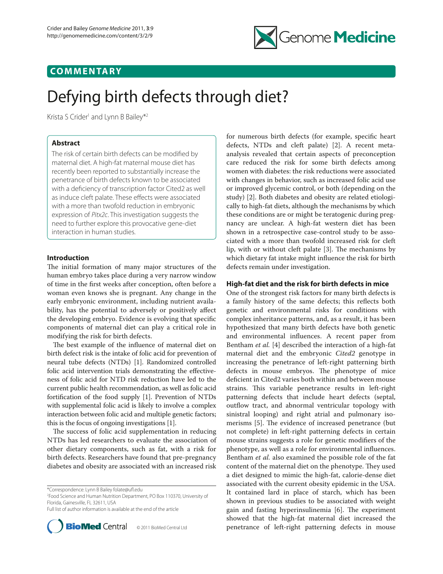

## **COMMENTARY**

# Defying birth defects through diet?

Krista S Crider<sup>1</sup> and Lynn B Bailey<sup>\*2</sup>

## **Abstract**

The risk of certain birth defects can be modified by maternal diet. A high-fat maternal mouse diet has recently been reported to substantially increase the penetrance of birth defects known to be associated with a deficiency of transcription factor Cited2 as well as induce cleft palate. These effects were associated with a more than twofold reduction in embryonic expression of *Pitx2c*. This investigation suggests the need to further explore this provocative gene-diet interaction in human studies.

## **Introduction**

The initial formation of many major structures of the human embryo takes place during a very narrow window of time in the first weeks after conception, often before a woman even knows she is pregnant. Any change in the early embryonic environment, including nutrient availability, has the potential to adversely or positively affect the developing embryo. Evidence is evolving that specific components of maternal diet can play a critical role in modifying the risk for birth defects.

The best example of the influence of maternal diet on birth defect risk is the intake of folic acid for prevention of neural tube defects (NTDs) [1]. Randomized controlled folic acid intervention trials demonstrating the effectiveness of folic acid for NTD risk reduction have led to the current public health recommendation, as well as folic acid fortification of the food supply [1]. Prevention of NTDs with supplemental folic acid is likely to involve a complex interaction between folic acid and multiple genetic factors; this is the focus of ongoing investigations [1].

The success of folic acid supplementation in reducing NTDs has led researchers to evaluate the association of other dietary components, such as fat, with a risk for birth defects. Researchers have found that pre-pregnancy diabetes and obesity are associated with an increased risk

2 Food Science and Human Nutrition Department, PO Box 110370, University of Florida, Gainesville, FL 32611, USA

Full list of author information is available at the end of the article



for numerous birth defects (for example, specific heart defects, NTDs and cleft palate) [2]. A recent metaanalysis revealed that certain aspects of preconception care reduced the risk for some birth defects among women with diabetes: the risk reductions were associated with changes in behavior, such as increased folic acid use or improved glycemic control, or both (depending on the study) [2]. Both diabetes and obesity are related etiologically to high-fat diets, although the mechanisms by which these conditions are or might be teratogenic during pregnancy are unclear. A high-fat western diet has been shown in a retrospective case-control study to be associated with a more than twofold increased risk for cleft lip, with or without cleft palate  $[3]$ . The mechanisms by which dietary fat intake might influence the risk for birth defects remain under investigation.

## **High-fat diet and the risk for birth defects in mice**

One of the strongest risk factors for many birth defects is a family history of the same defects; this reflects both genetic and environmental risks for conditions with complex inheritance patterns, and, as a result, it has been hypothesized that many birth defects have both genetic and environmental influences. A recent paper from Bentham *et al.* [4] described the interaction of a high-fat maternal diet and the embryonic *Cited2* genotype in increasing the penetrance of left-right patterning birth defects in mouse embryos. The phenotype of mice deficient in Cited2 varies both within and between mouse strains. This variable penetrance results in left-right patterning defects that include heart defects (septal, outflow tract, and abnormal ventricular topology with sinistral looping) and right atrial and pulmonary isomerisms [5]. The evidence of increased penetrance (but not complete) in left-right patterning defects in certain mouse strains suggests a role for genetic modifiers of the phenotype, as well as a role for environmental influences. Bentham *et al.* also examined the possible role of the fat content of the maternal diet on the phenotype. They used a diet designed to mimic the high-fat, calorie-dense diet associated with the current obesity epidemic in the USA. It contained lard in place of starch, which has been shown in previous studies to be associated with weight gain and fasting hyperinsulinemia [6]. The experiment showed that the high-fat maternal diet increased the penetrance of left-right patterning defects in mouse

<sup>\*</sup>Correspondence: Lynn B Bailey folate@ufl.edu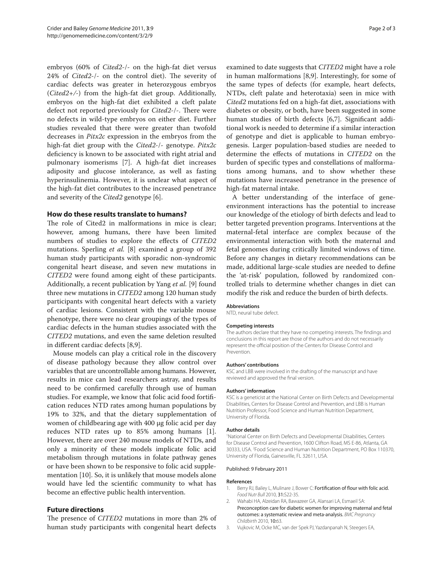embryos (60% of *Cited2*-/- on the high-fat diet versus 24% of *Cited2*-/- on the control diet). The severity of cardiac defects was greater in heterozygous embryos (*Cited2+/-*) from the high-fat diet group. Additionally, embryos on the high-fat diet exhibited a cleft palate defect not reported previously for *Cited2*-/-. There were no defects in wild-type embryos on either diet. Further studies revealed that there were greater than twofold decreases in *Pitx2c* expression in the embryos from the high-fat diet group with the *Cited2*-/- genotype. *Pitx2c* deficiency is known to be associated with right atrial and pulmonary isomerisms [7]. A high-fat diet increases adiposity and glucose intolerance, as well as fasting hyperinsulinemia. However, it is unclear what aspect of the high-fat diet contributes to the increased penetrance and severity of the *Cited2* genotype [6].

### **How do these results translate to humans?**

The role of Cited2 in malformations in mice is clear; however, among humans, there have been limited numbers of studies to explore the effects of *CITED2* mutations. Sperling *et al.* [8] examined a group of 392 human study participants with sporadic non-syndromic congenital heart disease, and seven new mutations in *CITED2* were found among eight of these participants. Additionally, a recent publication by Yang *et al.* [9] found three new mutations in *CITED2* among 120 human study participants with congenital heart defects with a variety of cardiac lesions. Consistent with the variable mouse phenotype, there were no clear groupings of the types of cardiac defects in the human studies associated with the *CITED2* mutations, and even the same deletion resulted in different cardiac defects [8,9].

Mouse models can play a critical role in the discovery of disease pathology because they allow control over variables that are uncontrollable among humans. However, results in mice can lead researchers astray, and results need to be confirmed carefully through use of human studies. For example, we know that folic acid food fortification reduces NTD rates among human populations by 19% to 32%, and that the dietary supplementation of women of childbearing age with 400 µg folic acid per day reduces NTD rates up to 85% among humans [1]. However, there are over 240 mouse models of NTDs, and only a minority of these models implicate folic acid metabolism through mutations in folate pathway genes or have been shown to be responsive to folic acid supplementation [10]. So, it is unlikely that mouse models alone would have led the scientific community to what has become an effective public health intervention.

## **Future directions**

The presence of *CITED2* mutations in more than 2% of human study participants with congenital heart defects

examined to date suggests that *CITED2* might have a role in human malformations [8,9]. Interestingly, for some of the same types of defects (for example, heart defects, NTDs, cleft palate and heterotaxia) seen in mice with *Cited2* mutations fed on a high-fat diet, associations with diabetes or obesity, or both, have been suggested in some human studies of birth defects [6,7]. Significant additional work is needed to determine if a similar interaction of genotype and diet is applicable to human embryogenesis. Larger population-based studies are needed to determine the effects of mutations in *CITED2* on the burden of specific types and constellations of malformations among humans, and to show whether these mutations have increased penetrance in the presence of high-fat maternal intake.

A better understanding of the interface of geneenvironment interactions has the potential to increase our knowledge of the etiology of birth defects and lead to better targeted prevention programs. Interventions at the maternal-fetal interface are complex because of the environmental interaction with both the maternal and fetal genomes during critically limited windows of time. Before any changes in dietary recommendations can be made, additional large-scale studies are needed to define the 'at-risk' population, followed by randomized controlled trials to determine whether changes in diet can modify the risk and reduce the burden of birth defects.

#### **Abbreviations**

NTD, neural tube defect.

#### **Competing interests**

The authors declare that they have no competing interests. The findings and conclusions in this report are those of the authors and do not necessarily represent the official position of the Centers for Disease Control and Prevention.

#### **Authors' contributions**

KSC and LBB were involved in the drafting of the manuscript and have reviewed and approved the final version.

#### **Authors' information**

KSC is a geneticist at the National Center on Birth Defects and Developmental Disabilities, Centers for Disease Control and Prevention, and LBB is Human Nutrition Professor, Food Science and Human Nutrition Department, University of Florida.

#### **Author details**

1 National Center on Birth Defects and Developmental Disabilities, Centers for Disease Control and Prevention, 1600 Clifton Road, MS E-86, Atlanta, GA 30333, USA. 2 Food Science and Human Nutrition Department, PO Box 110370, University of Florida, Gainesville, FL 32611, USA.

#### Published: 9 February 2011

#### **References**

- 1. Berry RJ, Bailey L, Mulinare J, Bower C: Fortification of flour with folic acid. *Food Nutr Bull* 2010, 31:S22-35.
- 2. Wahabi HA, Alzeidan RA, Bawazeer GA, Alansari LA, Esmaeil SA: Preconception care for diabetic women for improving maternal and fetal outcomes: a systematic review and meta-analysis. *BMC Pregnancy Childbirth* 2010, 10:63.
- 3. Vujkovic M, Ocke MC, van der Spek PJ, Yazdanpanah N, Steegers EA,